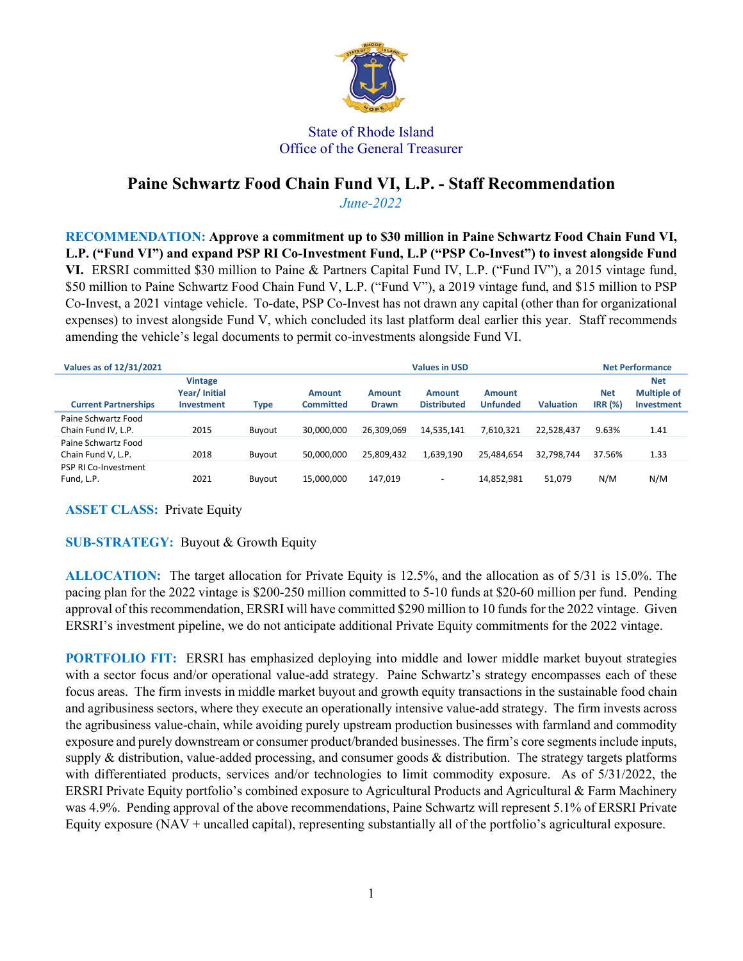

## State of Rhode Island Office of the General Treasurer

## **Paine Schwartz Food Chain Fund VI, L.P. - Staff Recommendation** *June-2022*

**RECOMMENDATION: Approve a commitment up to \$30 million in Paine Schwartz Food Chain Fund VI, L.P. ("Fund VI") and expand PSP RI Co-Investment Fund, L.P ("PSP Co-Invest") to invest alongside Fund VI.** ERSRI committed \$30 million to Paine & Partners Capital Fund IV, L.P. ("Fund IV"), a 2015 vintage fund, \$50 million to Paine Schwartz Food Chain Fund V, L.P. ("Fund V"), a 2019 vintage fund, and \$15 million to PSP Co-Invest, a 2021 vintage vehicle. To-date, PSP Co-Invest has not drawn any capital (other than for organizational expenses) to invest alongside Fund V, which concluded its last platform deal earlier this year. Staff recommends amending the vehicle's legal documents to permit co-investments alongside Fund VI.

| Values as of 12/31/2021                    | <b>Values in USD</b>                         |               |                     |                        |                              |                                  |                  | <b>Net Performance</b>       |                                                       |
|--------------------------------------------|----------------------------------------------|---------------|---------------------|------------------------|------------------------------|----------------------------------|------------------|------------------------------|-------------------------------------------------------|
| <b>Current Partnerships</b>                | <b>Vintage</b><br>Year/Initial<br>Investment | Type          | Amount<br>Committed | Amount<br><b>Drawn</b> | Amount<br><b>Distributed</b> | <b>Amount</b><br><b>Unfunded</b> | <b>Valuation</b> | <b>Net</b><br><b>IRR (%)</b> | <b>Net</b><br><b>Multiple of</b><br><b>Investment</b> |
| Paine Schwartz Food<br>Chain Fund IV, L.P. | 2015                                         | Buvout        | 30.000.000          | 26,309,069             | 14,535,141                   | 7.610.321                        | 22.528.437       | 9.63%                        | 1.41                                                  |
| Paine Schwartz Food<br>Chain Fund V, L.P.  | 2018                                         | <b>Buvout</b> | 50.000.000          | 25,809,432             | 1,639,190                    | 25.484.654                       | 32.798.744       | 37.56%                       | 1.33                                                  |
| <b>PSP RI Co-Investment</b><br>Fund, L.P.  | 2021                                         | Buvout        | 15,000,000          | 147,019                | $\overline{\phantom{a}}$     | 14,852,981                       | 51,079           | N/M                          | N/M                                                   |

**ASSET CLASS:** Private Equity

## **SUB-STRATEGY:** Buyout & Growth Equity

**ALLOCATION:** The target allocation for Private Equity is 12.5%, and the allocation as of 5/31 is 15.0%. The pacing plan for the 2022 vintage is \$200-250 million committed to 5-10 funds at \$20-60 million per fund. Pending approval of this recommendation, ERSRI will have committed \$290 million to 10 funds for the 2022 vintage. Given ERSRI's investment pipeline, we do not anticipate additional Private Equity commitments for the 2022 vintage.

**PORTFOLIO FIT:** ERSRI has emphasized deploying into middle and lower middle market buyout strategies with a sector focus and/or operational value-add strategy. Paine Schwartz's strategy encompasses each of these focus areas. The firm invests in middle market buyout and growth equity transactions in the sustainable food chain and agribusiness sectors, where they execute an operationally intensive value-add strategy. The firm invests across the agribusiness value-chain, while avoiding purely upstream production businesses with farmland and commodity exposure and purely downstream or consumer product/branded businesses. The firm's core segments include inputs, supply & distribution, value-added processing, and consumer goods & distribution. The strategy targets platforms with differentiated products, services and/or technologies to limit commodity exposure. As of 5/31/2022, the ERSRI Private Equity portfolio's combined exposure to Agricultural Products and Agricultural & Farm Machinery was 4.9%. Pending approval of the above recommendations, Paine Schwartz will represent 5.1% of ERSRI Private Equity exposure (NAV + uncalled capital), representing substantially all of the portfolio's agricultural exposure.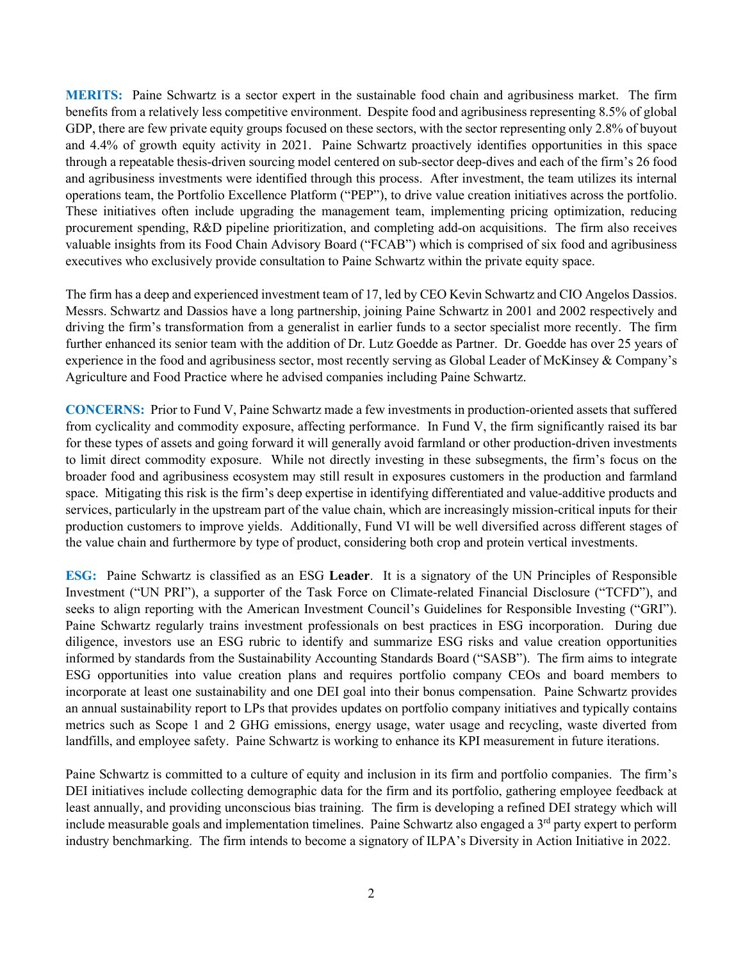**MERITS:** Paine Schwartz is a sector expert in the sustainable food chain and agribusiness market. The firm benefits from a relatively less competitive environment. Despite food and agribusiness representing 8.5% of global GDP, there are few private equity groups focused on these sectors, with the sector representing only 2.8% of buyout and 4.4% of growth equity activity in 2021. Paine Schwartz proactively identifies opportunities in this space through a repeatable thesis-driven sourcing model centered on sub-sector deep-dives and each of the firm's 26 food and agribusiness investments were identified through this process. After investment, the team utilizes its internal operations team, the Portfolio Excellence Platform ("PEP"), to drive value creation initiatives across the portfolio. These initiatives often include upgrading the management team, implementing pricing optimization, reducing procurement spending, R&D pipeline prioritization, and completing add-on acquisitions. The firm also receives valuable insights from its Food Chain Advisory Board ("FCAB") which is comprised of six food and agribusiness executives who exclusively provide consultation to Paine Schwartz within the private equity space.

The firm has a deep and experienced investment team of 17, led by CEO Kevin Schwartz and CIO Angelos Dassios. Messrs. Schwartz and Dassios have a long partnership, joining Paine Schwartz in 2001 and 2002 respectively and driving the firm's transformation from a generalist in earlier funds to a sector specialist more recently. The firm further enhanced its senior team with the addition of Dr. Lutz Goedde as Partner. Dr. Goedde has over 25 years of experience in the food and agribusiness sector, most recently serving as Global Leader of McKinsey & Company's Agriculture and Food Practice where he advised companies including Paine Schwartz.

**CONCERNS:** Prior to Fund V, Paine Schwartz made a few investments in production-oriented assets that suffered from cyclicality and commodity exposure, affecting performance. In Fund V, the firm significantly raised its bar for these types of assets and going forward it will generally avoid farmland or other production-driven investments to limit direct commodity exposure. While not directly investing in these subsegments, the firm's focus on the broader food and agribusiness ecosystem may still result in exposures customers in the production and farmland space. Mitigating this risk is the firm's deep expertise in identifying differentiated and value-additive products and services, particularly in the upstream part of the value chain, which are increasingly mission-critical inputs for their production customers to improve yields. Additionally, Fund VI will be well diversified across different stages of the value chain and furthermore by type of product, considering both crop and protein vertical investments.

**ESG:** Paine Schwartz is classified as an ESG **Leader**.It is a signatory of the UN Principles of Responsible Investment ("UN PRI"), a supporter of the Task Force on Climate-related Financial Disclosure ("TCFD"), and seeks to align reporting with the American Investment Council's Guidelines for Responsible Investing ("GRI"). Paine Schwartz regularly trains investment professionals on best practices in ESG incorporation. During due diligence, investors use an ESG rubric to identify and summarize ESG risks and value creation opportunities informed by standards from the Sustainability Accounting Standards Board ("SASB"). The firm aims to integrate ESG opportunities into value creation plans and requires portfolio company CEOs and board members to incorporate at least one sustainability and one DEI goal into their bonus compensation. Paine Schwartz provides an annual sustainability report to LPs that provides updates on portfolio company initiatives and typically contains metrics such as Scope 1 and 2 GHG emissions, energy usage, water usage and recycling, waste diverted from landfills, and employee safety. Paine Schwartz is working to enhance its KPI measurement in future iterations.

Paine Schwartz is committed to a culture of equity and inclusion in its firm and portfolio companies. The firm's DEI initiatives include collecting demographic data for the firm and its portfolio, gathering employee feedback at least annually, and providing unconscious bias training. The firm is developing a refined DEI strategy which will include measurable goals and implementation timelines. Paine Schwartz also engaged a 3<sup>rd</sup> party expert to perform industry benchmarking. The firm intends to become a signatory of ILPA's Diversity in Action Initiative in 2022.